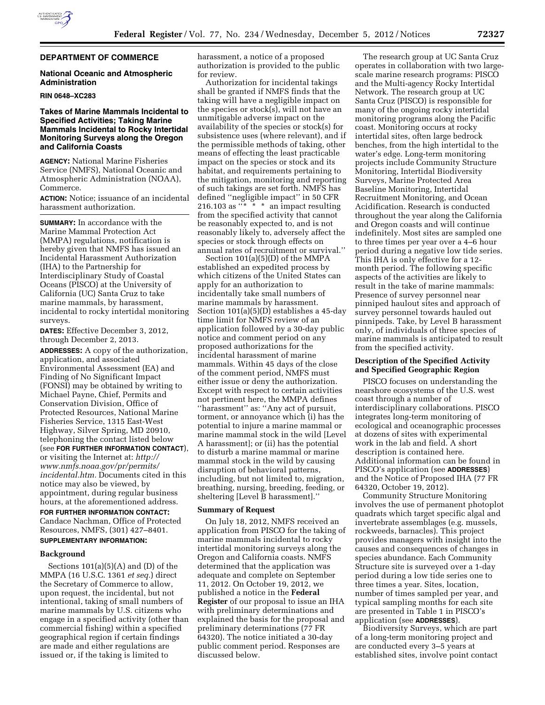

### **DEPARTMENT OF COMMERCE**

### **National Oceanic and Atmospheric Administration**

#### **RIN 0648–XC283**

# **Takes of Marine Mammals Incidental to Specified Activities; Taking Marine Mammals Incidental to Rocky Intertidal Monitoring Surveys along the Oregon and California Coasts**

**AGENCY:** National Marine Fisheries Service (NMFS), National Oceanic and Atmospheric Administration (NOAA), Commerce.

**ACTION:** Notice; issuance of an incidental harassment authorization.

**SUMMARY:** In accordance with the Marine Mammal Protection Act (MMPA) regulations, notification is hereby given that NMFS has issued an Incidental Harassment Authorization (IHA) to the Partnership for Interdisciplinary Study of Coastal Oceans (PISCO) at the University of California (UC) Santa Cruz to take marine mammals, by harassment, incidental to rocky intertidal monitoring surveys.

**DATES:** Effective December 3, 2012, through December 2, 2013.

**ADDRESSES:** A copy of the authorization, application, and associated Environmental Assessment (EA) and Finding of No Significant Impact (FONSI) may be obtained by writing to Michael Payne, Chief, Permits and Conservation Division, Office of Protected Resources, National Marine Fisheries Service, 1315 East-West Highway, Silver Spring, MD 20910, telephoning the contact listed below (see **FOR FURTHER INFORMATION CONTACT**), or visiting the Internet at: *[http://](http://www.nmfs.noaa.gov/pr/permits/incidental.htm)  [www.nmfs.noaa.gov/pr/permits/](http://www.nmfs.noaa.gov/pr/permits/incidental.htm) [incidental.htm.](http://www.nmfs.noaa.gov/pr/permits/incidental.htm)* Documents cited in this notice may also be viewed, by appointment, during regular business hours, at the aforementioned address.

# **FOR FURTHER INFORMATION CONTACT:**  Candace Nachman, Office of Protected

Resources, NMFS, (301) 427–8401. **SUPPLEMENTARY INFORMATION:** 

# **Background**

Sections  $101(a)(5)(A)$  and  $(D)$  of the MMPA (16 U.S.C. 1361 *et seq.*) direct the Secretary of Commerce to allow, upon request, the incidental, but not intentional, taking of small numbers of marine mammals by U.S. citizens who engage in a specified activity (other than commercial fishing) within a specified geographical region if certain findings are made and either regulations are issued or, if the taking is limited to

harassment, a notice of a proposed authorization is provided to the public for review.

Authorization for incidental takings shall be granted if NMFS finds that the taking will have a negligible impact on the species or stock(s), will not have an unmitigable adverse impact on the availability of the species or stock(s) for subsistence uses (where relevant), and if the permissible methods of taking, other means of effecting the least practicable impact on the species or stock and its habitat, and requirements pertaining to the mitigation, monitoring and reporting of such takings are set forth. NMFS has defined ''negligible impact'' in 50 CFR 216.103 as  $x^* \cdot x^*$  an impact resulting from the specified activity that cannot be reasonably expected to, and is not reasonably likely to, adversely affect the species or stock through effects on annual rates of recruitment or survival.''

Section 101(a)(5)(D) of the MMPA established an expedited process by which citizens of the United States can apply for an authorization to incidentally take small numbers of marine mammals by harassment. Section 101(a)(5)(D) establishes a 45-day time limit for NMFS review of an application followed by a 30-day public notice and comment period on any proposed authorizations for the incidental harassment of marine mammals. Within 45 days of the close of the comment period, NMFS must either issue or deny the authorization. Except with respect to certain activities not pertinent here, the MMPA defines ''harassment'' as: ''Any act of pursuit, torment, or annoyance which (i) has the potential to injure a marine mammal or marine mammal stock in the wild [Level A harassment]; or (ii) has the potential to disturb a marine mammal or marine mammal stock in the wild by causing disruption of behavioral patterns, including, but not limited to, migration, breathing, nursing, breeding, feeding, or sheltering [Level B harassment].''

### **Summary of Request**

On July 18, 2012, NMFS received an application from PISCO for the taking of marine mammals incidental to rocky intertidal monitoring surveys along the Oregon and California coasts. NMFS determined that the application was adequate and complete on September 11, 2012. On October 19, 2012, we published a notice in the **Federal Register** of our proposal to issue an IHA with preliminary determinations and explained the basis for the proposal and preliminary determinations (77 FR 64320). The notice initiated a 30-day public comment period. Responses are discussed below.

The research group at UC Santa Cruz operates in collaboration with two largescale marine research programs: PISCO and the Multi-agency Rocky Intertidal Network. The research group at UC Santa Cruz (PISCO) is responsible for many of the ongoing rocky intertidal monitoring programs along the Pacific coast. Monitoring occurs at rocky intertidal sites, often large bedrock benches, from the high intertidal to the water's edge. Long-term monitoring projects include Community Structure Monitoring, Intertidal Biodiversity Surveys, Marine Protected Area Baseline Monitoring, Intertidal Recruitment Monitoring, and Ocean Acidification. Research is conducted throughout the year along the California and Oregon coasts and will continue indefinitely. Most sites are sampled one to three times per year over a 4–6 hour period during a negative low tide series. This IHA is only effective for a 12 month period. The following specific aspects of the activities are likely to result in the take of marine mammals: Presence of survey personnel near pinniped haulout sites and approach of survey personnel towards hauled out pinnipeds. Take, by Level B harassment only, of individuals of three species of marine mammals is anticipated to result from the specified activity.

### **Description of the Specified Activity and Specified Geographic Region**

PISCO focuses on understanding the nearshore ecosystems of the U.S. west coast through a number of interdisciplinary collaborations. PISCO integrates long-term monitoring of ecological and oceanographic processes at dozens of sites with experimental work in the lab and field. A short description is contained here. Additional information can be found in PISCO's application (see **ADDRESSES**) and the Notice of Proposed IHA (77 FR 64320, October 19, 2012).

Community Structure Monitoring involves the use of permanent photoplot quadrats which target specific algal and invertebrate assemblages (e.g. mussels, rockweeds, barnacles). This project provides managers with insight into the causes and consequences of changes in species abundance. Each Community Structure site is surveyed over a 1-day period during a low tide series one to three times a year. Sites, location, number of times sampled per year, and typical sampling months for each site are presented in Table 1 in PISCO's application (see **ADDRESSES**).

Biodiversity Surveys, which are part of a long-term monitoring project and are conducted every 3–5 years at established sites, involve point contact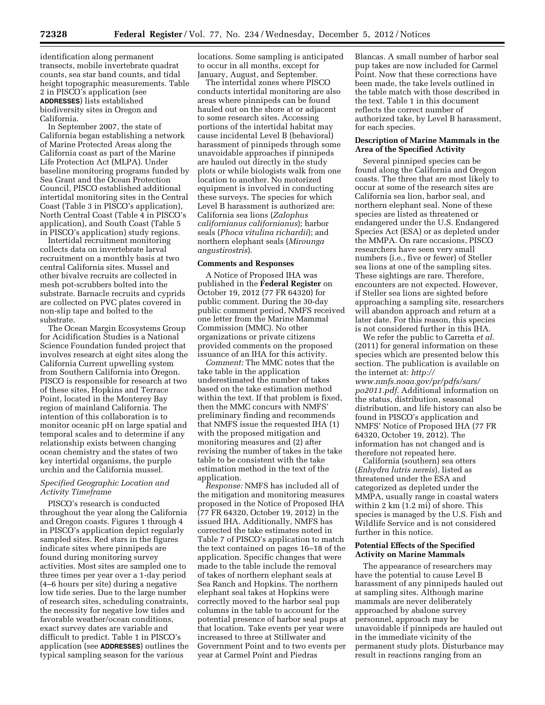identification along permanent transects, mobile invertebrate quadrat counts, sea star band counts, and tidal height topographic measurements. Table 2 in PISCO's application (see **ADDRESSES**) lists established biodiversity sites in Oregon and California.

In September 2007, the state of California began establishing a network of Marine Protected Areas along the California coast as part of the Marine Life Protection Act (MLPA). Under baseline monitoring programs funded by Sea Grant and the Ocean Protection Council, PISCO established additional intertidal monitoring sites in the Central Coast (Table 3 in PISCO's application), North Central Coast (Table 4 in PISCO's application), and South Coast (Table 5 in PISCO's application) study regions.

Intertidal recruitment monitoring collects data on invertebrate larval recruitment on a monthly basis at two central California sites. Mussel and other bivalve recruits are collected in mesh pot-scrubbers bolted into the substrate. Barnacle recruits and cyprids are collected on PVC plates covered in non-slip tape and bolted to the substrate.

The Ocean Margin Ecosystems Group for Acidification Studies is a National Science Foundation funded project that involves research at eight sites along the California Current upwelling system from Southern California into Oregon. PISCO is responsible for research at two of these sites, Hopkins and Terrace Point, located in the Monterey Bay region of mainland California. The intention of this collaboration is to monitor oceanic pH on large spatial and temporal scales and to determine if any relationship exists between changing ocean chemistry and the states of two key intertidal organisms, the purple urchin and the California mussel.

### *Specified Geographic Location and Activity Timeframe*

PISCO's research is conducted throughout the year along the California and Oregon coasts. Figures 1 through 4 in PISCO's application depict regularly sampled sites. Red stars in the figures indicate sites where pinnipeds are found during monitoring survey activities. Most sites are sampled one to three times per year over a 1-day period (4–6 hours per site) during a negative low tide series. Due to the large number of research sites, scheduling constraints, the necessity for negative low tides and favorable weather/ocean conditions, exact survey dates are variable and difficult to predict. Table 1 in PISCO's application (see **ADDRESSES**) outlines the typical sampling season for the various

locations. Some sampling is anticipated to occur in all months, except for January, August, and September.

The intertidal zones where PISCO conducts intertidal monitoring are also areas where pinnipeds can be found hauled out on the shore at or adjacent to some research sites. Accessing portions of the intertidal habitat may cause incidental Level B (behavioral) harassment of pinnipeds through some unavoidable approaches if pinnipeds are hauled out directly in the study plots or while biologists walk from one location to another. No motorized equipment is involved in conducting these surveys. The species for which Level B harassment is authorized are: California sea lions (*Zalophus californianus californianus*); harbor seals (*Phoca vitulina richardii*); and northern elephant seals (*Mirounga angustirostris*).

### **Comments and Responses**

A Notice of Proposed IHA was published in the **Federal Register** on October 19, 2012 (77 FR 64320) for public comment. During the 30-day public comment period, NMFS received one letter from the Marine Mammal Commission (MMC). No other organizations or private citizens provided comments on the proposed issuance of an IHA for this activity.

*Comment:* The MMC notes that the take table in the application underestimated the number of takes based on the take estimation method within the text. If that problem is fixed, then the MMC concurs with NMFS' preliminary finding and recommends that NMFS issue the requested IHA (1) with the proposed mitigation and monitoring measures and (2) after revising the number of takes in the take table to be consistent with the take estimation method in the text of the application.

*Response:* NMFS has included all of the mitigation and monitoring measures proposed in the Notice of Proposed IHA (77 FR 64320, October 19, 2012) in the issued IHA. Additionally, NMFS has corrected the take estimates noted in Table 7 of PISCO's application to match the text contained on pages 16–18 of the application. Specific changes that were made to the table include the removal of takes of northern elephant seals at Sea Ranch and Hopkins. The northern elephant seal takes at Hopkins were correctly moved to the harbor seal pup columns in the table to account for the potential presence of harbor seal pups at that location. Take events per year were increased to three at Stillwater and Government Point and to two events per year at Carmel Point and Piedras

Blancas. A small number of harbor seal pup takes are now included for Carmel Point. Now that these corrections have been made, the take levels outlined in the table match with those described in the text. Table 1 in this document reflects the correct number of authorized take, by Level B harassment, for each species.

### **Description of Marine Mammals in the Area of the Specified Activity**

Several pinniped species can be found along the California and Oregon coasts. The three that are most likely to occur at some of the research sites are California sea lion, harbor seal, and northern elephant seal. None of these species are listed as threatened or endangered under the U.S. Endangered Species Act (ESA) or as depleted under the MMPA. On rare occasions, PISCO researchers have seen very small numbers (i.e., five or fewer) of Steller sea lions at one of the sampling sites. These sightings are rare. Therefore, encounters are not expected. However, if Steller sea lions are sighted before approaching a sampling site, researchers will abandon approach and return at a later date. For this reason, this species is not considered further in this IHA.

We refer the public to Carretta *et al.*  (2011) for general information on these species which are presented below this section. The publication is available on the internet at: *[http://](http://www.nmfs.noaa.gov/pr/pdfs/sars/po2011.pdf) [www.nmfs.noaa.gov/pr/pdfs/sars/](http://www.nmfs.noaa.gov/pr/pdfs/sars/po2011.pdf)  [po2011.pdf.](http://www.nmfs.noaa.gov/pr/pdfs/sars/po2011.pdf)* Additional information on the status, distribution, seasonal distribution, and life history can also be found in PISCO's application and NMFS' Notice of Proposed IHA (77 FR 64320, October 19, 2012). The information has not changed and is therefore not repeated here.

California (southern) sea otters (*Enhydra lutris nereis*), listed as threatened under the ESA and categorized as depleted under the MMPA, usually range in coastal waters within 2 km (1.2 mi) of shore. This species is managed by the U.S. Fish and Wildlife Service and is not considered further in this notice.

### **Potential Effects of the Specified Activity on Marine Mammals**

The appearance of researchers may have the potential to cause Level B harassment of any pinnipeds hauled out at sampling sites. Although marine mammals are never deliberately approached by abalone survey personnel, approach may be unavoidable if pinnipeds are hauled out in the immediate vicinity of the permanent study plots. Disturbance may result in reactions ranging from an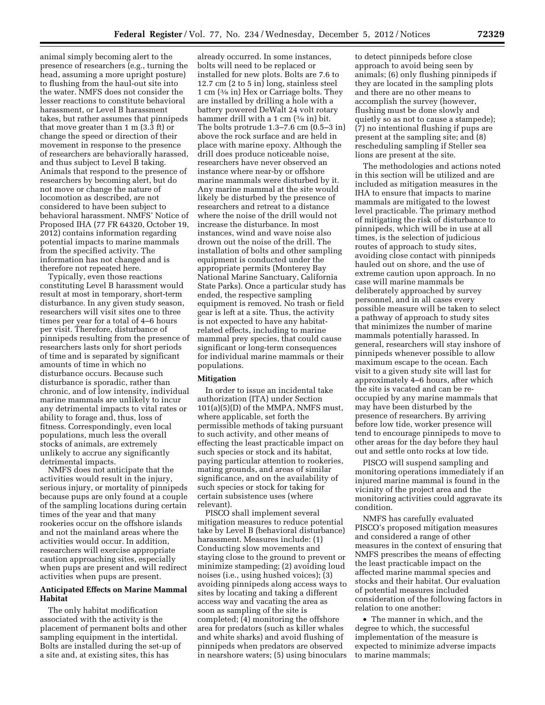animal simply becoming alert to the presence of researchers (e.g., turning the head, assuming a more upright posture) to flushing from the haul-out site into the water. NMFS does not consider the lesser reactions to constitute behavioral harassment, or Level B harassment takes, but rather assumes that pinnipeds that move greater than 1 m (3.3 ft) or change the speed or direction of their movement in response to the presence of researchers are behaviorally harassed, and thus subject to Level B taking. Animals that respond to the presence of researchers by becoming alert, but do not move or change the nature of locomotion as described, are not considered to have been subject to behavioral harassment. NMFS' Notice of Proposed IHA (77 FR 64320, October 19, 2012) contains information regarding potential impacts to marine mammals from the specified activity. The information has not changed and is therefore not repeated here.

Typically, even those reactions constituting Level B harassment would result at most in temporary, short-term disturbance. In any given study season, researchers will visit sites one to three times per year for a total of 4–6 hours per visit. Therefore, disturbance of pinnipeds resulting from the presence of researchers lasts only for short periods of time and is separated by significant amounts of time in which no disturbance occurs. Because such disturbance is sporadic, rather than chronic, and of low intensity, individual marine mammals are unlikely to incur any detrimental impacts to vital rates or ability to forage and, thus, loss of fitness. Correspondingly, even local populations, much less the overall stocks of animals, are extremely unlikely to accrue any significantly detrimental impacts.

NMFS does not anticipate that the activities would result in the injury, serious injury, or mortality of pinnipeds because pups are only found at a couple of the sampling locations during certain times of the year and that many rookeries occur on the offshore islands and not the mainland areas where the activities would occur. In addition, researchers will exercise appropriate caution approaching sites, especially when pups are present and will redirect activities when pups are present.

## **Anticipated Effects on Marine Mammal Habitat**

The only habitat modification associated with the activity is the placement of permanent bolts and other sampling equipment in the intertidal. Bolts are installed during the set-up of a site and, at existing sites, this has

already occurred. In some instances, bolts will need to be replaced or installed for new plots. Bolts are 7.6 to 12.7 cm (2 to 5 in) long, stainless steel 1 cm (3⁄8 in) Hex or Carriage bolts. They are installed by drilling a hole with a battery powered DeWalt 24 volt rotary hammer drill with a 1 cm (<sup>3</sup>/8 in) bit. The bolts protrude 1.3–7.6 cm (0.5–3 in) above the rock surface and are held in place with marine epoxy. Although the drill does produce noticeable noise, researchers have never observed an instance where near-by or offshore marine mammals were disturbed by it. Any marine mammal at the site would likely be disturbed by the presence of researchers and retreat to a distance where the noise of the drill would not increase the disturbance. In most instances, wind and wave noise also drown out the noise of the drill. The installation of bolts and other sampling equipment is conducted under the appropriate permits (Monterey Bay National Marine Sanctuary, California State Parks). Once a particular study has ended, the respective sampling equipment is removed. No trash or field gear is left at a site. Thus, the activity is not expected to have any habitatrelated effects, including to marine mammal prey species, that could cause significant or long-term consequences for individual marine mammals or their populations.

### **Mitigation**

In order to issue an incidental take authorization (ITA) under Section 101(a)(5)(D) of the MMPA, NMFS must, where applicable, set forth the permissible methods of taking pursuant to such activity, and other means of effecting the least practicable impact on such species or stock and its habitat, paying particular attention to rookeries, mating grounds, and areas of similar significance, and on the availability of such species or stock for taking for certain subsistence uses (where relevant).

PISCO shall implement several mitigation measures to reduce potential take by Level B (behavioral disturbance) harassment. Measures include: (1) Conducting slow movements and staying close to the ground to prevent or minimize stampeding; (2) avoiding loud noises (i.e., using hushed voices); (3) avoiding pinnipeds along access ways to sites by locating and taking a different access way and vacating the area as soon as sampling of the site is completed; (4) monitoring the offshore area for predators (such as killer whales and white sharks) and avoid flushing of pinnipeds when predators are observed in nearshore waters; (5) using binoculars

to detect pinnipeds before close approach to avoid being seen by animals; (6) only flushing pinnipeds if they are located in the sampling plots and there are no other means to accomplish the survey (however, flushing must be done slowly and quietly so as not to cause a stampede); (7) no intentional flushing if pups are present at the sampling site; and (8) rescheduling sampling if Steller sea lions are present at the site.

The methodologies and actions noted in this section will be utilized and are included as mitigation measures in the IHA to ensure that impacts to marine mammals are mitigated to the lowest level practicable. The primary method of mitigating the risk of disturbance to pinnipeds, which will be in use at all times, is the selection of judicious routes of approach to study sites, avoiding close contact with pinnipeds hauled out on shore, and the use of extreme caution upon approach. In no case will marine mammals be deliberately approached by survey personnel, and in all cases every possible measure will be taken to select a pathway of approach to study sites that minimizes the number of marine mammals potentially harassed. In general, researchers will stay inshore of pinnipeds whenever possible to allow maximum escape to the ocean. Each visit to a given study site will last for approximately 4–6 hours, after which the site is vacated and can be reoccupied by any marine mammals that may have been disturbed by the presence of researchers. By arriving before low tide, worker presence will tend to encourage pinnipeds to move to other areas for the day before they haul out and settle onto rocks at low tide.

PISCO will suspend sampling and monitoring operations immediately if an injured marine mammal is found in the vicinity of the project area and the monitoring activities could aggravate its condition.

NMFS has carefully evaluated PISCO's proposed mitigation measures and considered a range of other measures in the context of ensuring that NMFS prescribes the means of effecting the least practicable impact on the affected marine mammal species and stocks and their habitat. Our evaluation of potential measures included consideration of the following factors in relation to one another:

• The manner in which, and the degree to which, the successful implementation of the measure is expected to minimize adverse impacts to marine mammals;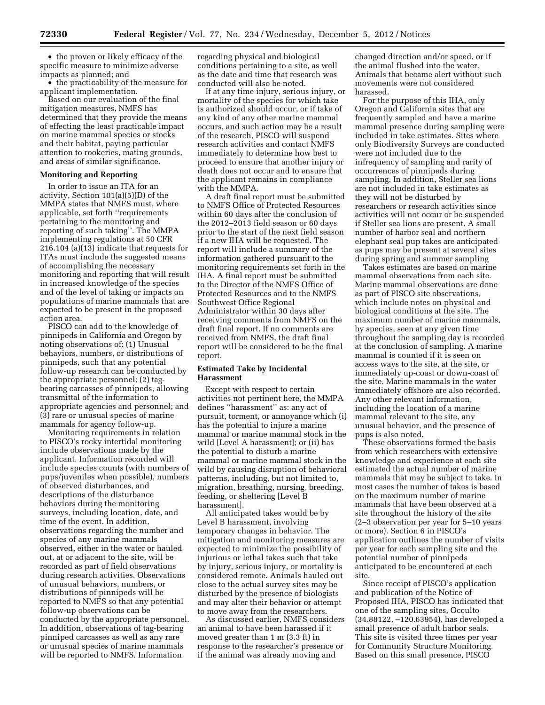• the proven or likely efficacy of the specific measure to minimize adverse impacts as planned; and

• the practicability of the measure for applicant implementation.

Based on our evaluation of the final mitigation measures, NMFS has determined that they provide the means of effecting the least practicable impact on marine mammal species or stocks and their habitat, paying particular attention to rookeries, mating grounds, and areas of similar significance.

### **Monitoring and Reporting**

In order to issue an ITA for an activity, Section 101(a)(5)(D) of the MMPA states that NMFS must, where applicable, set forth ''requirements pertaining to the monitoring and reporting of such taking''. The MMPA implementing regulations at 50 CFR 216.104 (a)(13) indicate that requests for ITAs must include the suggested means of accomplishing the necessary monitoring and reporting that will result in increased knowledge of the species and of the level of taking or impacts on populations of marine mammals that are expected to be present in the proposed action area.

PISCO can add to the knowledge of pinnipeds in California and Oregon by noting observations of: (1) Unusual behaviors, numbers, or distributions of pinnipeds, such that any potential follow-up research can be conducted by the appropriate personnel; (2) tagbearing carcasses of pinnipeds, allowing transmittal of the information to appropriate agencies and personnel; and (3) rare or unusual species of marine mammals for agency follow-up.

Monitoring requirements in relation to PISCO's rocky intertidal monitoring include observations made by the applicant. Information recorded will include species counts (with numbers of pups/juveniles when possible), numbers of observed disturbances, and descriptions of the disturbance behaviors during the monitoring surveys, including location, date, and time of the event. In addition, observations regarding the number and species of any marine mammals observed, either in the water or hauled out, at or adjacent to the site, will be recorded as part of field observations during research activities. Observations of unusual behaviors, numbers, or distributions of pinnipeds will be reported to NMFS so that any potential follow-up observations can be conducted by the appropriate personnel. In addition, observations of tag-bearing pinniped carcasses as well as any rare or unusual species of marine mammals will be reported to NMFS. Information

regarding physical and biological conditions pertaining to a site, as well as the date and time that research was conducted will also be noted.

If at any time injury, serious injury, or mortality of the species for which take is authorized should occur, or if take of any kind of any other marine mammal occurs, and such action may be a result of the research, PISCO will suspend research activities and contact NMFS immediately to determine how best to proceed to ensure that another injury or death does not occur and to ensure that the applicant remains in compliance with the MMPA.

A draft final report must be submitted to NMFS Office of Protected Resources within 60 days after the conclusion of the 2012–2013 field season or 60 days prior to the start of the next field season if a new IHA will be requested. The report will include a summary of the information gathered pursuant to the monitoring requirements set forth in the IHA. A final report must be submitted to the Director of the NMFS Office of Protected Resources and to the NMFS Southwest Office Regional Administrator within 30 days after receiving comments from NMFS on the draft final report. If no comments are received from NMFS, the draft final report will be considered to be the final report.

### **Estimated Take by Incidental Harassment**

Except with respect to certain activities not pertinent here, the MMPA defines ''harassment'' as: any act of pursuit, torment, or annoyance which (i) has the potential to injure a marine mammal or marine mammal stock in the wild [Level A harassment]; or (ii) has the potential to disturb a marine mammal or marine mammal stock in the wild by causing disruption of behavioral patterns, including, but not limited to, migration, breathing, nursing, breeding, feeding, or sheltering [Level B harassment].

All anticipated takes would be by Level B harassment, involving temporary changes in behavior. The mitigation and monitoring measures are expected to minimize the possibility of injurious or lethal takes such that take by injury, serious injury, or mortality is considered remote. Animals hauled out close to the actual survey sites may be disturbed by the presence of biologists and may alter their behavior or attempt to move away from the researchers.

As discussed earlier, NMFS considers an animal to have been harassed if it moved greater than 1 m (3.3 ft) in response to the researcher's presence or if the animal was already moving and

changed direction and/or speed, or if the animal flushed into the water. Animals that became alert without such movements were not considered harassed.

For the purpose of this IHA, only Oregon and California sites that are frequently sampled and have a marine mammal presence during sampling were included in take estimates. Sites where only Biodiversity Surveys are conducted were not included due to the infrequency of sampling and rarity of occurrences of pinnipeds during sampling. In addition, Steller sea lions are not included in take estimates as they will not be disturbed by researchers or research activities since activities will not occur or be suspended if Steller sea lions are present. A small number of harbor seal and northern elephant seal pup takes are anticipated as pups may be present at several sites during spring and summer sampling

Takes estimates are based on marine mammal observations from each site. Marine mammal observations are done as part of PISCO site observations, which include notes on physical and biological conditions at the site. The maximum number of marine mammals, by species, seen at any given time throughout the sampling day is recorded at the conclusion of sampling. A marine mammal is counted if it is seen on access ways to the site, at the site, or immediately up-coast or down-coast of the site. Marine mammals in the water immediately offshore are also recorded. Any other relevant information, including the location of a marine mammal relevant to the site, any unusual behavior, and the presence of pups is also noted.

These observations formed the basis from which researchers with extensive knowledge and experience at each site estimated the actual number of marine mammals that may be subject to take. In most cases the number of takes is based on the maximum number of marine mammals that have been observed at a site throughout the history of the site (2–3 observation per year for 5–10 years or more). Section 6 in PISCO's application outlines the number of visits per year for each sampling site and the potential number of pinnipeds anticipated to be encountered at each site.

Since receipt of PISCO's application and publication of the Notice of Proposed IHA, PISCO has indicated that one of the sampling sites, Occulto (34.88122, –120.63954), has developed a small presence of adult harbor seals. This site is visited three times per year for Community Structure Monitoring. Based on this small presence, PISCO